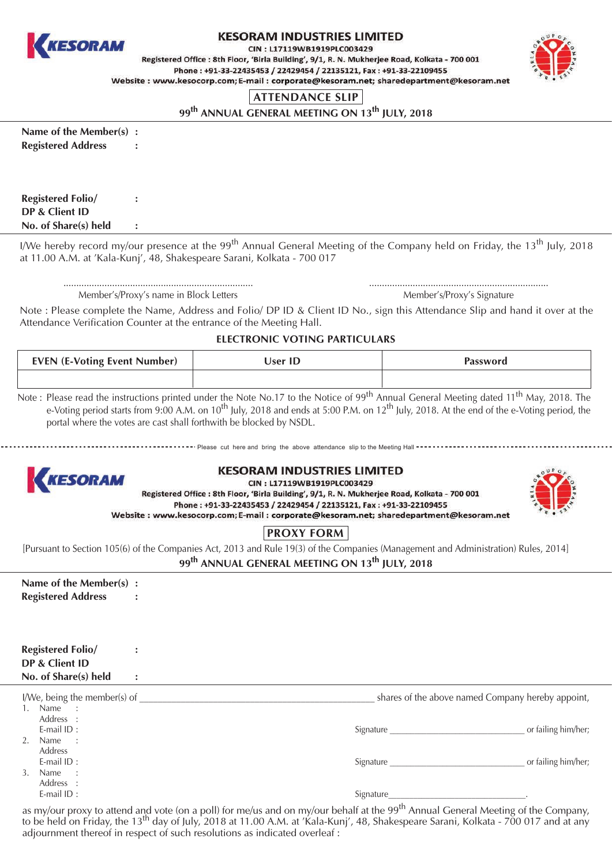

## **KESORAM INDUSTRIES LIMITED**

CIN: L17119WB1919PLC003429

Registered Office : 8th Floor, 'Birla Building', 9/1, R. N. Mukherjee Road, Kolkata - 700 001 Phone: +91-33-22435453 / 22429454 / 22135121, Fax: +91-33-22109455 Website: www.kesocorp.com; E-mail: corporate@kesoram.net; sharedepartment@kesoram.net



## **ATTENDANCE SLIP**

99<sup>th</sup> ANNUAL GENERAL MEETING ON 13<sup>th</sup> IULY, 2018

Name of the Member(s) : **Registered Address** 

| <b>Registered Folio/</b> |  |
|--------------------------|--|
| DP & Client ID           |  |
| No. of Share(s) held     |  |

I/We hereby record my/our presence at the 99<sup>th</sup> Annual General Meeting of the Company held on Fridav, the 13<sup>th</sup> Iulv. 2018 at 11.00 A.M. at 'Kala-Kunj', 48, Shakespeare Sarani, Kolkata - 700 017

Member's/Proxy's name in Block Letters

 $\ddot{\cdot}$ 

÷

Member's/Proxy's Signature

Note: Please complete the Name, Address and Folio/ DP ID & Client ID No., sign this Attendance Slip and hand it over at the Attendance Verification Counter at the entrance of the Meeting Hall.

ELECTRONIC VOTING PARTICULARS

| <b>EVEN (E-Voting Event Number)</b> | User ID | Password |
|-------------------------------------|---------|----------|
|                                     |         |          |
|                                     |         |          |

Note: Please read the instructions printed under the Note No.17 to the Notice of  $99^{th}$  Annual General Meeting dated  $11^{th}$  May, 2018. The e-Voting period starts from 9:00 A.M. on  $10^{th}$  July, 2018 and ends at 5:00 P.M portal where the votes are cast shall forthwith be blocked by NSDL.

... Please cut here and bring the above attendance slip to the Meeting Hall



## **KESORAM INDUSTRIES LIMITED**

CIN: L17119WB1919PLC003429

Registered Office: 8th Floor, 'Birla Building', 9/1, R. N. Mukherjee Road, Kolkata - 700 001 Phone: +91-33-22435453 / 22429454 / 22135121, Fax: +91-33-22109455 Website: www.kesocorp.com; E-mail: corporate@kesoram.net; sharedepartment@kesoram.net



# **PROXY FORM**

[Pursuant to Section 105(6) of the Companies Act, 2013 and Rule 19(3) of the Companies (Management and Administration) Rules, 2014] 99<sup>th</sup> ANNUAL GENERAL MEETING ON 13<sup>th</sup> IULY, 2018

| Name of the Member(s) :   |  |
|---------------------------|--|
| <b>Registered Address</b> |  |

| <b>Registered Folio/</b> |  |
|--------------------------|--|
| DP & Client ID           |  |
| No. of Share(s) held     |  |

| I/We, being the member(s) of   | shares of the above named Company hereby appoint, |                     |
|--------------------------------|---------------------------------------------------|---------------------|
| Name<br>$\cdot$ :              |                                                   |                     |
| Address :                      |                                                   |                     |
| E-mail $ID:$                   | Signature                                         | or failing him/her; |
| 2.<br>Name<br>$\sim$ 1.        |                                                   |                     |
| <b>Address</b>                 |                                                   |                     |
| E-mail $ID:$                   | Signature                                         | or failing him/her; |
| Name<br>3.<br>$\sim$ 100 $\pm$ |                                                   |                     |
| Address :                      |                                                   |                     |
| E-mail $ID:$                   | Signature                                         |                     |

as my/our proxy to attend and vote (on a poll) for me/us and on my/our behalf at the 99<sup>th</sup> Annual General Meeting of the Company, to be held on Friday, the 13<sup>th</sup> day of July, 2018 at 11.00 A.M. at 'Kala-Kunj', 48, Shakespeare Sarani, Kolkata - 700 017 and at any adjournment thereof in respect of such resolutions as indicated overleaf :